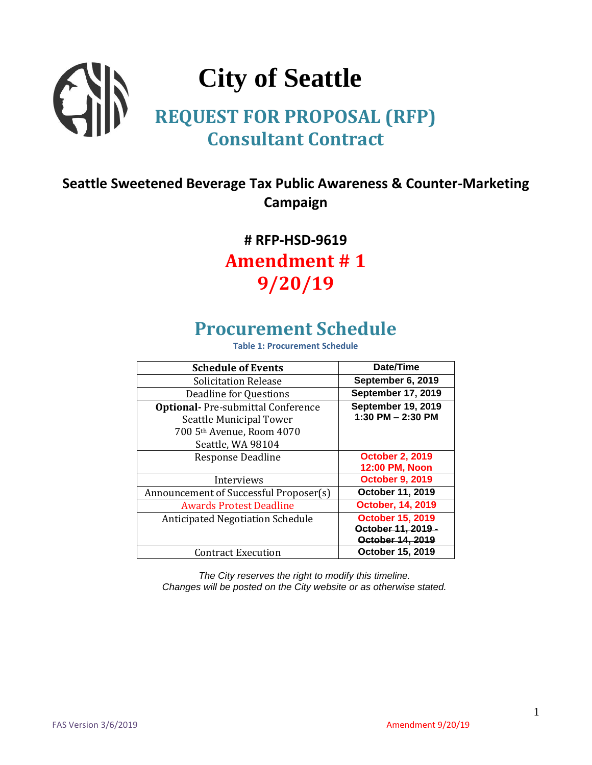# **City of Seattle REQUEST FOR PROPOSAL (RFP) Consultant Contract**

### **Seattle Sweetened Beverage Tax Public Awareness & Counter-Marketing Campaign**

# **# RFP-HSD-9619 Amendment # 1 9/20/19**

# **Procurement Schedule**

**Table 1: Procurement Schedule**

| <b>Schedule of Events</b>                                                                         | Date/Time                                        |
|---------------------------------------------------------------------------------------------------|--------------------------------------------------|
| <b>Solicitation Release</b>                                                                       | September 6, 2019                                |
| Deadline for Questions                                                                            | <b>September 17, 2019</b>                        |
| <b>Optional-</b> Pre-submittal Conference<br>Seattle Municipal Tower<br>700 5th Avenue, Room 4070 | <b>September 19, 2019</b><br>1:30 PM $-$ 2:30 PM |
| Seattle, WA 98104                                                                                 |                                                  |
| Response Deadline                                                                                 | <b>October 2, 2019</b><br>12:00 PM, Noon         |
| Interviews                                                                                        | <b>October 9, 2019</b>                           |
| Announcement of Successful Proposer(s)                                                            | October 11, 2019                                 |
| <b>Awards Protest Deadline</b>                                                                    | <b>October, 14, 2019</b>                         |
| <b>Anticipated Negotiation Schedule</b>                                                           | <b>October 15, 2019</b>                          |
|                                                                                                   | October 11, 2019 -                               |
|                                                                                                   | October 14, 2019                                 |
| <b>Contract Execution</b>                                                                         | October 15, 2019                                 |

*The City reserves the right to modify this timeline. Changes will be posted on the City website or as otherwise stated.*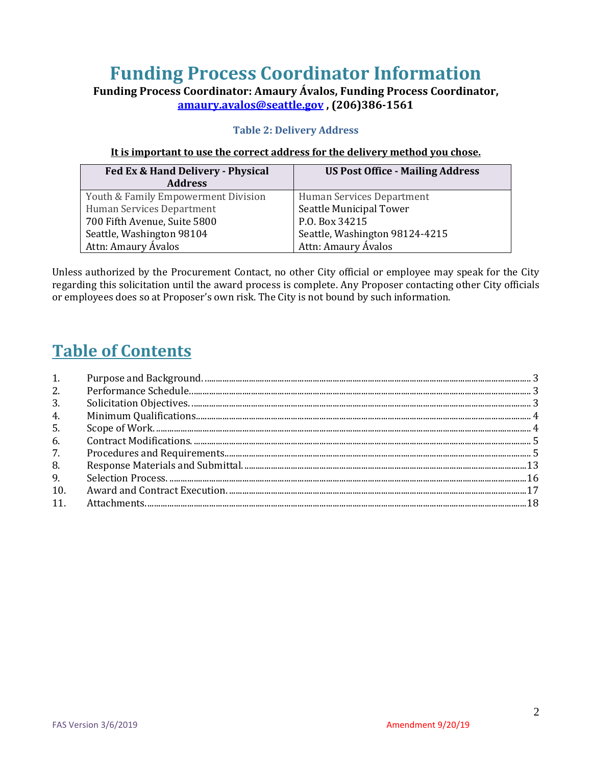# **Funding Process Coordinator Information**

**Funding Process Coordinator: Amaury Ávalos, Funding Process Coordinator, [amaury.avalos@seattle.gov](mailto:amaury.avalos@seattle.gov) , (206)386-1561**

#### **Table 2: Delivery Address**

#### **It is important to use the correct address for the delivery method you chose.**

| Fed Ex & Hand Delivery - Physical   | <b>US Post Office - Mailing Address</b> |  |
|-------------------------------------|-----------------------------------------|--|
| <b>Address</b>                      |                                         |  |
| Youth & Family Empowerment Division | Human Services Department               |  |
| Human Services Department           | <b>Seattle Municipal Tower</b>          |  |
| 700 Fifth Avenue, Suite 5800        | P.O. Box 34215                          |  |
| Seattle, Washington 98104           | Seattle, Washington 98124-4215          |  |
| Attn: Amaury Ávalos                 | Attn: Amaury Ávalos                     |  |

Unless authorized by the Procurement Contact, no other City official or employee may speak for the City regarding this solicitation until the award process is complete. Any Proposer contacting other City officials or employees does so at Proposer's own risk. The City is not bound by such information.

### **Table of Contents**

| 1.  |  |
|-----|--|
| 2.  |  |
| 3.  |  |
| 4.  |  |
| 5.  |  |
| 6.  |  |
| 7.  |  |
| 8.  |  |
| 9.  |  |
| 10. |  |
| 11. |  |
|     |  |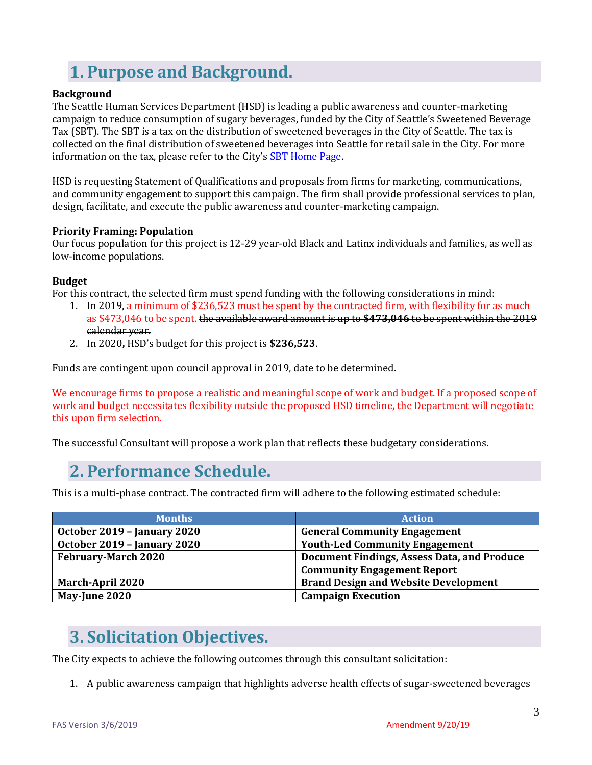# <span id="page-2-0"></span>**1. Purpose and Background.**

#### **Background**

The Seattle Human Services Department (HSD) is leading a public awareness and counter-marketing campaign to reduce consumption of sugary beverages, funded by the City of Seattle's Sweetened Beverage Tax (SBT). The SBT is a tax on the distribution of sweetened beverages in the City of Seattle. The tax is collected on the final distribution of sweetened beverages into Seattle for retail sale in the City. For more information on the tax, please refer to the City's [SBT Home Page.](http://www.seattle.gov/business-licenses-and-taxes/business-license-tax/other-seattle-taxes/sweetened-beverage-tax)

HSD is requesting Statement of Qualifications and proposals from firms for marketing, communications, and community engagement to support this campaign. The firm shall provide professional services to plan, design, facilitate, and execute the public awareness and counter-marketing campaign.

#### **Priority Framing: Population**

Our focus population for this project is 12-29 year-old Black and Latinx individuals and families, as well as low-income populations.

#### **Budget**

For this contract, the selected firm must spend funding with the following considerations in mind:

- 1. In 2019, a minimum of \$236,523 must be spent by the contracted firm, with flexibility for as much as \$473,046 to be spent. the available award amount is up to **\$473,046** to be spent within the 2019 calendar year.
- 2. In 2020**,** HSD's budget for this project is **\$236,523**.

Funds are contingent upon council approval in 2019, date to be determined.

We encourage firms to propose a realistic and meaningful scope of work and budget. If a proposed scope of work and budget necessitates flexibility outside the proposed HSD timeline, the Department will negotiate this upon firm selection.

<span id="page-2-1"></span>The successful Consultant will propose a work plan that reflects these budgetary considerations.

### **2. Performance Schedule.**

This is a multi-phase contract. The contracted firm will adhere to the following estimated schedule:

| <b>Months</b>               | <b>Action</b>                               |
|-----------------------------|---------------------------------------------|
| October 2019 - January 2020 | <b>General Community Engagement</b>         |
| October 2019 - January 2020 | <b>Youth-Led Community Engagement</b>       |
| <b>February-March 2020</b>  | Document Findings, Assess Data, and Produce |
|                             | <b>Community Engagement Report</b>          |
| <b>March-April 2020</b>     | <b>Brand Design and Website Development</b> |
| May-June 2020               | <b>Campaign Execution</b>                   |

## <span id="page-2-2"></span>**3. Solicitation Objectives.**

The City expects to achieve the following outcomes through this consultant solicitation:

1. A public awareness campaign that highlights adverse health effects of sugar-sweetened beverages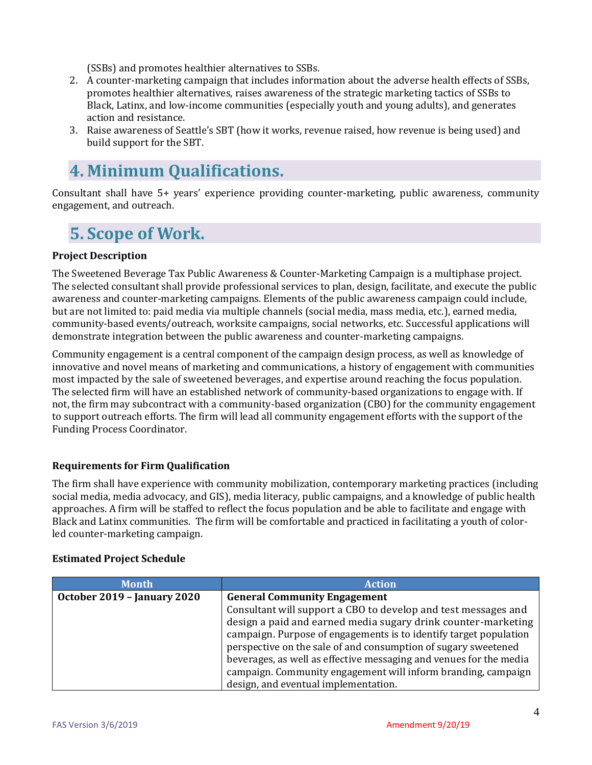(SSBs) and promotes healthier alternatives to SSBs.

- 2. A counter-marketing campaign that includes information about the adverse health effects of SSBs, promotes healthier alternatives, raises awareness of the strategic marketing tactics of SSBs to Black, Latinx, and low-income communities (especially youth and young adults), and generates action and resistance.
- 3. Raise awareness of Seattle's SBT (how it works, revenue raised, how revenue is being used) and build support for the SBT.

## <span id="page-3-0"></span>**4. Minimum Qualifications.**

Consultant shall have 5+ years' experience providing counter-marketing, public awareness, community engagement, and outreach.

## <span id="page-3-1"></span>**5. Scope of Work.**

#### **Project Description**

The Sweetened Beverage Tax Public Awareness & Counter-Marketing Campaign is a multiphase project. The selected consultant shall provide professional services to plan, design, facilitate, and execute the public awareness and counter-marketing campaigns. Elements of the public awareness campaign could include, but are not limited to: paid media via multiple channels (social media, mass media, etc.), earned media, community-based events/outreach, worksite campaigns, social networks, etc. Successful applications will demonstrate integration between the public awareness and counter-marketing campaigns.

Community engagement is a central component of the campaign design process, as well as knowledge of innovative and novel means of marketing and communications, a history of engagement with communities most impacted by the sale of sweetened beverages, and expertise around reaching the focus population. The selected firm will have an established network of community-based organizations to engage with. If not, the firm may subcontract with a community-based organization (CBO) for the community engagement to support outreach efforts. The firm will lead all community engagement efforts with the support of the Funding Process Coordinator.

#### **Requirements for Firm Qualification**

The firm shall have experience with community mobilization, contemporary marketing practices (including social media, media advocacy, and GIS), media literacy, public campaigns, and a knowledge of public health approaches. A firm will be staffed to reflect the focus population and be able to facilitate and engage with Black and Latinx communities. The firm will be comfortable and practiced in facilitating a youth of colorled counter-marketing campaign.

#### **Estimated Project Schedule**

| <b>Month</b>                | <b>Action</b>                                                      |  |
|-----------------------------|--------------------------------------------------------------------|--|
| October 2019 - January 2020 | <b>General Community Engagement</b>                                |  |
|                             | Consultant will support a CBO to develop and test messages and     |  |
|                             | design a paid and earned media sugary drink counter-marketing      |  |
|                             | campaign. Purpose of engagements is to identify target population  |  |
|                             | perspective on the sale of and consumption of sugary sweetened     |  |
|                             | beverages, as well as effective messaging and venues for the media |  |
|                             | campaign. Community engagement will inform branding, campaign      |  |
|                             | design, and eventual implementation.                               |  |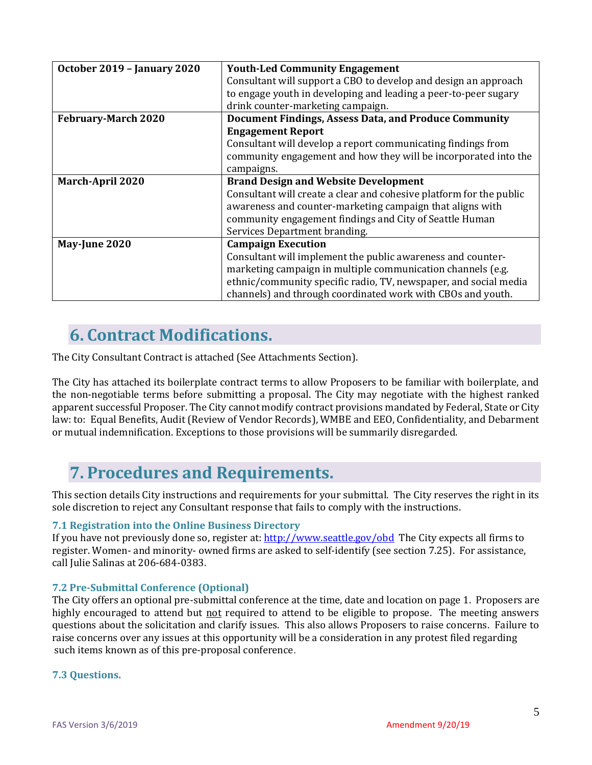| October 2019 - January 2020 | <b>Youth-Led Community Engagement</b>                               |  |
|-----------------------------|---------------------------------------------------------------------|--|
|                             | Consultant will support a CBO to develop and design an approach     |  |
|                             | to engage youth in developing and leading a peer-to-peer sugary     |  |
|                             | drink counter-marketing campaign.                                   |  |
| <b>February-March 2020</b>  | Document Findings, Assess Data, and Produce Community               |  |
|                             | <b>Engagement Report</b>                                            |  |
|                             | Consultant will develop a report communicating findings from        |  |
|                             | community engagement and how they will be incorporated into the     |  |
|                             | campaigns.                                                          |  |
| <b>March-April 2020</b>     | <b>Brand Design and Website Development</b>                         |  |
|                             | Consultant will create a clear and cohesive platform for the public |  |
|                             | awareness and counter-marketing campaign that aligns with           |  |
|                             | community engagement findings and City of Seattle Human             |  |
|                             | Services Department branding.                                       |  |
| May-June 2020               | <b>Campaign Execution</b>                                           |  |
|                             | Consultant will implement the public awareness and counter-         |  |
|                             | marketing campaign in multiple communication channels (e.g.         |  |
|                             | ethnic/community specific radio, TV, newspaper, and social media    |  |
|                             | channels) and through coordinated work with CBOs and youth.         |  |

## <span id="page-4-0"></span>**6. Contract Modifications.**

The City Consultant Contract is attached (See Attachments Section).

The City has attached its boilerplate contract terms to allow Proposers to be familiar with boilerplate, and the non-negotiable terms before submitting a proposal. The City may negotiate with the highest ranked apparent successful Proposer. The City cannot modify contract provisions mandated by Federal, State or City law: to: Equal Benefits, Audit (Review of Vendor Records), WMBE and EEO, Confidentiality, and Debarment or mutual indemnification. Exceptions to those provisions will be summarily disregarded.

## <span id="page-4-1"></span>**7. Procedures and Requirements.**

This section details City instructions and requirements for your submittal. The City reserves the right in its sole discretion to reject any Consultant response that fails to comply with the instructions.

#### **7.1 Registration into the Online Business Directory**

If you have not previously done so, register at:<http://www.seattle.gov/obd>The City expects all firms to register. Women- and minority- owned firms are asked to self-identify (see section 7.25). For assistance, call Julie Salinas at 206-684-0383.

#### **7.2 Pre-Submittal Conference (Optional)**

The City offers an optional pre-submittal conference at the time, date and location on page 1. Proposers are highly encouraged to attend but not required to attend to be eligible to propose. The meeting answers questions about the solicitation and clarify issues. This also allows Proposers to raise concerns. Failure to raise concerns over any issues at this opportunity will be a consideration in any protest filed regarding such items known as of this pre-proposal conference.

#### **7.3 Questions.**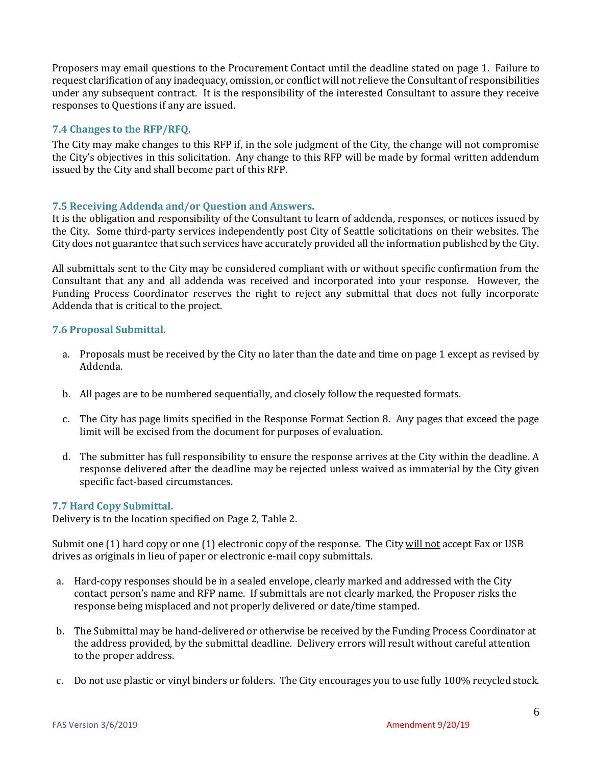Proposers may email questions to the Procurement Contact until the deadline stated on page 1. Failure to request clarification of any inadequacy, omission, or conflict will not relieve the Consultant of responsibilities under any subsequent contract. It is the responsibility of the interested Consultant to assure they receive responses to Questions if any are issued.

#### **7.4 Changes to the RFP/RFQ.**

The City may make changes to this RFP if, in the sole judgment of the City, the change will not compromise the City's objectives in this solicitation. Any change to this RFP will be made by formal written addendum issued by the City and shall become part of this RFP.

#### **7.5 Receiving Addenda and/or Question and Answers.**

It is the obligation and responsibility of the Consultant to learn of addenda, responses, or notices issued by the City. Some third-party services independently post City of Seattle solicitations on their websites. The City does not guarantee that such services have accurately provided all the information published by the City.

All submittals sent to the City may be considered compliant with or without specific confirmation from the Consultant that any and all addenda was received and incorporated into your response. However, the Funding Process Coordinator reserves the right to reject any submittal that does not fully incorporate Addenda that is critical to the project.

#### **7.6 Proposal Submittal.**

- a. Proposals must be received by the City no later than the date and time on page 1 except as revised by Addenda.
- b. All pages are to be numbered sequentially, and closely follow the requested formats.
- c. The City has page limits specified in the Response Format Section 8. Any pages that exceed the page limit will be excised from the document for purposes of evaluation.
- d. The submitter has full responsibility to ensure the response arrives at the City within the deadline. A response delivered after the deadline may be rejected unless waived as immaterial by the City given specific fact-based circumstances.

#### **7.7 Hard Copy Submittal.**

Delivery is to the location specified on Page 2, Table 2.

Submit one (1) hard copy or one (1) electronic copy of the response. The City will not accept Fax or USB drives as originals in lieu of paper or electronic e-mail copy submittals.

- a. Hard-copy responses should be in a sealed envelope, clearly marked and addressed with the City contact person's name and RFP name. If submittals are not clearly marked, the Proposer risks the response being misplaced and not properly delivered or date/time stamped.
- b. The Submittal may be hand-delivered or otherwise be received by the Funding Process Coordinator at the address provided, by the submittal deadline*.* Delivery errors will result without careful attention to the proper address.
- c. Do not use plastic or vinyl binders or folders. The City encourages you to use fully 100% recycled stock.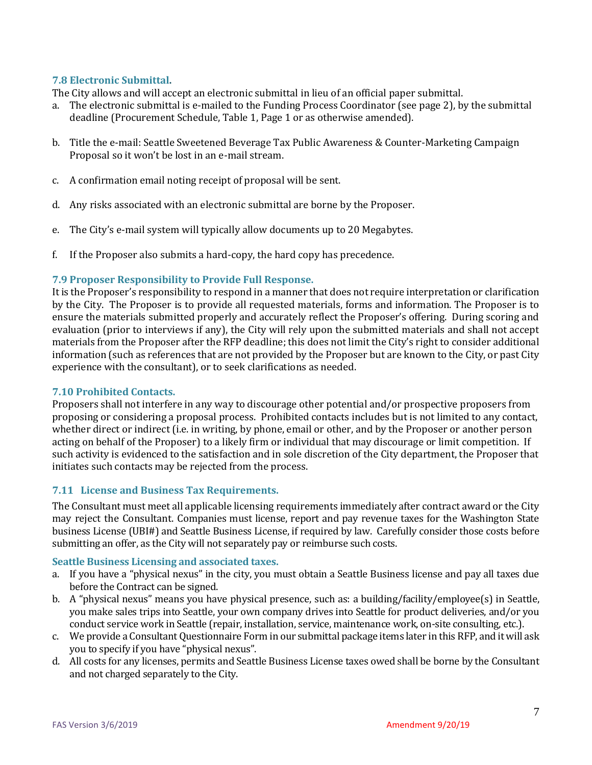#### **7.8 Electronic Submittal.**

The City allows and will accept an electronic submittal in lieu of an official paper submittal.

- a. The electronic submittal is e-mailed to the Funding Process Coordinator (see page 2), by the submittal deadline (Procurement Schedule, Table 1, Page 1 or as otherwise amended).
- b. Title the e-mail: Seattle Sweetened Beverage Tax Public Awareness & Counter-Marketing Campaign Proposal so it won't be lost in an e-mail stream.
- c. A confirmation email noting receipt of proposal will be sent.
- d. Any risks associated with an electronic submittal are borne by the Proposer.
- e. The City's e-mail system will typically allow documents up to 20 Megabytes.
- f. If the Proposer also submits a hard-copy, the hard copy has precedence.

#### **7.9 Proposer Responsibility to Provide Full Response.**

It is the Proposer's responsibility to respond in a manner that does not require interpretation or clarification by the City. The Proposer is to provide all requested materials, forms and information. The Proposer is to ensure the materials submitted properly and accurately reflect the Proposer's offering. During scoring and evaluation (prior to interviews if any), the City will rely upon the submitted materials and shall not accept materials from the Proposer after the RFP deadline; this does not limit the City's right to consider additional information (such as references that are not provided by the Proposer but are known to the City, or past City experience with the consultant), or to seek clarifications as needed.

#### **7.10 Prohibited Contacts.**

Proposers shall not interfere in any way to discourage other potential and/or prospective proposers from proposing or considering a proposal process. Prohibited contacts includes but is not limited to any contact, whether direct or indirect (i.e. in writing, by phone, email or other, and by the Proposer or another person acting on behalf of the Proposer) to a likely firm or individual that may discourage or limit competition. If such activity is evidenced to the satisfaction and in sole discretion of the City department, the Proposer that initiates such contacts may be rejected from the process.

#### **7.11 License and Business Tax Requirements.**

The Consultant must meet all applicable licensing requirements immediately after contract award or the City may reject the Consultant. Companies must license, report and pay revenue taxes for the Washington State business License (UBI#) and Seattle Business License, if required by law. Carefully consider those costs before submitting an offer, as the City will not separately pay or reimburse such costs.

#### **Seattle Business Licensing and associated taxes.**

- a. If you have a "physical nexus" in the city, you must obtain a Seattle Business license and pay all taxes due before the Contract can be signed.
- b. A "physical nexus" means you have physical presence, such as: a building/facility/employee(s) in Seattle, you make sales trips into Seattle, your own company drives into Seattle for product deliveries, and/or you conduct service work in Seattle (repair, installation, service, maintenance work, on-site consulting, etc.).
- c. We provide a Consultant Questionnaire Form in our submittal package items later in this RFP, and it will ask you to specify if you have "physical nexus".
- d. All costs for any licenses, permits and Seattle Business License taxes owed shall be borne by the Consultant and not charged separately to the City.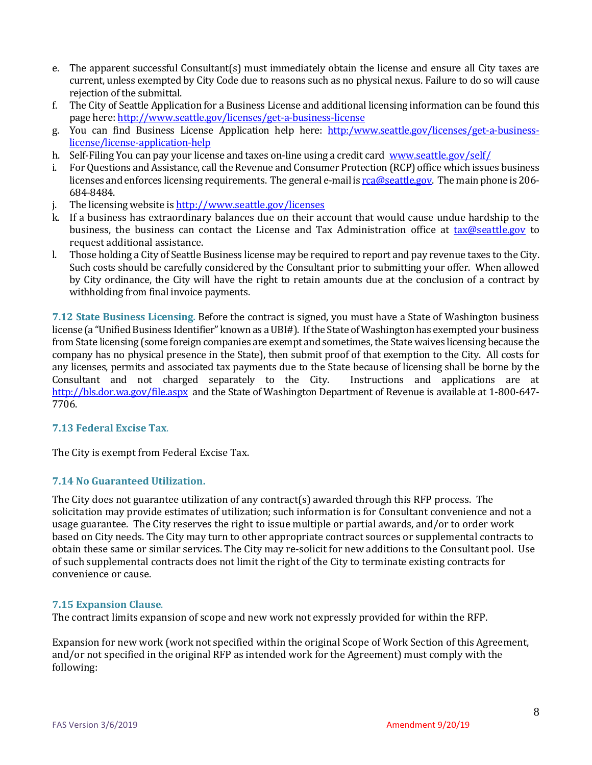- e. The apparent successful Consultant(s) must immediately obtain the license and ensure all City taxes are current, unless exempted by City Code due to reasons such as no physical nexus. Failure to do so will cause rejection of the submittal.
- f. The City of Seattle Application for a Business License and additional licensing information can be found this page here: <http://www.seattle.gov/licenses/get-a-business-license>
- g. You can find Business License Application help here: [http:/www.seattle.gov/licenses/get-a-business](http://www.seattle.gov/licenses/get-a-business-license/license-application-help)[license/license-application-help](http://www.seattle.gov/licenses/get-a-business-license/license-application-help)
- h. Self-Filing You can pay your license and taxes on-line using a credit card [www.seattle.gov/self/](http://www.seattle.gov/self/)
- i. For Questions and Assistance, call the Revenue and Consumer Protection (RCP) office which issues business licenses and enforces licensing requirements. The general e-mail is rea@seattle.gov. The main phone is 206-684-8484.
- j. The licensing website i[s http://www.seattle.gov/licenses](http://www.seattle.gov/licenses)
- k. If a business has extraordinary balances due on their account that would cause undue hardship to the business, the business can contact the License and Tax Administration office at [tax@seattle.gov](mailto:tax@seattle.gov) to request additional assistance.
- l. Those holding a City of Seattle Business license may be required to report and pay revenue taxes to the City. Such costs should be carefully considered by the Consultant prior to submitting your offer. When allowed by City ordinance, the City will have the right to retain amounts due at the conclusion of a contract by withholding from final invoice payments.

**7.12 State Business Licensing.** Before the contract is signed, you must have a State of Washington business license (a "Unified Business Identifier" known as a UBI#). If the State of Washington has exempted your business from State licensing (some foreign companies are exempt and sometimes, the State waives licensing because the company has no physical presence in the State), then submit proof of that exemption to the City. All costs for any licenses, permits and associated tax payments due to the State because of licensing shall be borne by the Consultant and not charged separately to the City. Instructions and applications are at <http://bls.dor.wa.gov/file.aspx>and the State of Washington Department of Revenue is available at 1-800-647- 7706.

#### **7.13 Federal Excise Tax**.

The City is exempt from Federal Excise Tax.

#### **7.14 No Guaranteed Utilization.**

The City does not guarantee utilization of any contract(s) awarded through this RFP process. The solicitation may provide estimates of utilization; such information is for Consultant convenience and not a usage guarantee. The City reserves the right to issue multiple or partial awards, and/or to order work based on City needs. The City may turn to other appropriate contract sources or supplemental contracts to obtain these same or similar services. The City may re-solicit for new additions to the Consultant pool. Use of such supplemental contracts does not limit the right of the City to terminate existing contracts for convenience or cause.

#### **7.15 Expansion Clause**.

The contract limits expansion of scope and new work not expressly provided for within the RFP.

Expansion for new work (work not specified within the original Scope of Work Section of this Agreement, and/or not specified in the original RFP as intended work for the Agreement) must comply with the following: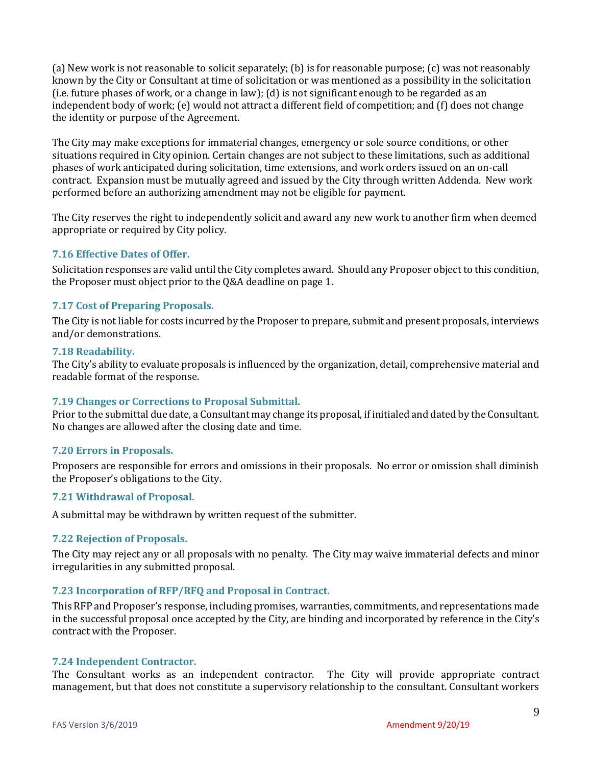(a) New work is not reasonable to solicit separately; (b) is for reasonable purpose; (c) was not reasonably known by the City or Consultant at time of solicitation or was mentioned as a possibility in the solicitation (i.e. future phases of work, or a change in law); (d) is not significant enough to be regarded as an independent body of work; (e) would not attract a different field of competition; and (f) does not change the identity or purpose of the Agreement.

The City may make exceptions for immaterial changes, emergency or sole source conditions, or other situations required in City opinion. Certain changes are not subject to these limitations, such as additional phases of work anticipated during solicitation, time extensions, and work orders issued on an on-call contract. Expansion must be mutually agreed and issued by the City through written Addenda. New work performed before an authorizing amendment may not be eligible for payment.

The City reserves the right to independently solicit and award any new work to another firm when deemed appropriate or required by City policy.

#### **7.16 Effective Dates of Offer.**

Solicitation responses are valid until the City completes award. Should any Proposer object to this condition, the Proposer must object prior to the Q&A deadline on page 1.

#### **7.17 Cost of Preparing Proposals.**

The City is not liable for costs incurred by the Proposer to prepare, submit and present proposals, interviews and/or demonstrations.

#### **7.18 Readability.**

The City's ability to evaluate proposals is influenced by the organization, detail, comprehensive material and readable format of the response.

#### **7.19 Changes or Corrections to Proposal Submittal.**

Prior to the submittal due date, a Consultant may change its proposal, if initialed and dated by the Consultant. No changes are allowed after the closing date and time.

#### **7.20 Errors in Proposals.**

Proposers are responsible for errors and omissions in their proposals. No error or omission shall diminish the Proposer's obligations to the City.

#### **7.21 Withdrawal of Proposal.**

A submittal may be withdrawn by written request of the submitter.

#### **7.22 Rejection of Proposals.**

The City may reject any or all proposals with no penalty. The City may waive immaterial defects and minor irregularities in any submitted proposal.

#### **7.23 Incorporation of RFP/RFQ and Proposal in Contract.**

This RFP and Proposer's response, including promises, warranties, commitments, and representations made in the successful proposal once accepted by the City, are binding and incorporated by reference in the City's contract with the Proposer.

#### **7.24 Independent Contractor.**

The Consultant works as an independent contractor. The City will provide appropriate contract management, but that does not constitute a supervisory relationship to the consultant. Consultant workers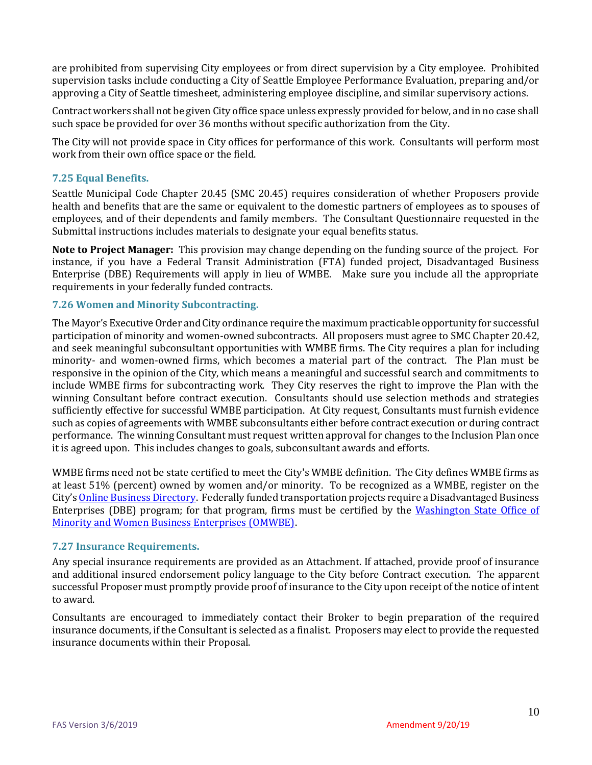are prohibited from supervising City employees or from direct supervision by a City employee. Prohibited supervision tasks include conducting a City of Seattle Employee Performance Evaluation, preparing and/or approving a City of Seattle timesheet, administering employee discipline, and similar supervisory actions.

Contract workers shall not be given City office space unless expressly provided for below, and in no case shall such space be provided for over 36 months without specific authorization from the City.

The City will not provide space in City offices for performance of this work. Consultants will perform most work from their own office space or the field.

#### **7.25 Equal Benefits.**

Seattle Municipal Code Chapter 20.45 (SMC 20.45) requires consideration of whether Proposers provide health and benefits that are the same or equivalent to the domestic partners of employees as to spouses of employees, and of their dependents and family members. The Consultant Questionnaire requested in the Submittal instructions includes materials to designate your equal benefits status.

**Note to Project Manager:** This provision may change depending on the funding source of the project. For instance, if you have a Federal Transit Administration (FTA) funded project, Disadvantaged Business Enterprise (DBE) Requirements will apply in lieu of WMBE. Make sure you include all the appropriate requirements in your federally funded contracts.

#### **7.26 Women and Minority Subcontracting.**

The Mayor's Executive Order and City ordinance require the maximum practicable opportunity for successful participation of minority and women-owned subcontracts. All proposers must agree to SMC Chapter 20.42, and seek meaningful subconsultant opportunities with WMBE firms. The City requires a plan for including minority- and women-owned firms, which becomes a material part of the contract. The Plan must be responsive in the opinion of the City, which means a meaningful and successful search and commitments to include WMBE firms for subcontracting work. They City reserves the right to improve the Plan with the winning Consultant before contract execution. Consultants should use selection methods and strategies sufficiently effective for successful WMBE participation. At City request, Consultants must furnish evidence such as copies of agreements with WMBE subconsultants either before contract execution or during contract performance. The winning Consultant must request written approval for changes to the Inclusion Plan once it is agreed upon. This includes changes to goals, subconsultant awards and efforts.

WMBE firms need not be state certified to meet the City's WMBE definition. The City defines WMBE firms as at least 51% (percent) owned by women and/or minority. To be recognized as a WMBE, register on the City's [Online Business Directory.](http://www.seattle.gov/city-purchasing-and-contracting/online-business-directory) Federally funded transportation projects require a Disadvantaged Business Enterprises (DBE) program; for that program, firms must be certified by the [Washington State Office of](http://www.omwbe.wa.gov/certification/certification_dbe.shtml)  [Minority and Women Business Enterprises \(OMWBE\).](http://www.omwbe.wa.gov/certification/certification_dbe.shtml)

#### **7.27 Insurance Requirements.**

Any special insurance requirements are provided as an Attachment. If attached, provide proof of insurance and additional insured endorsement policy language to the City before Contract execution. The apparent successful Proposer must promptly provide proof of insurance to the City upon receipt of the notice of intent to award.

Consultants are encouraged to immediately contact their Broker to begin preparation of the required insurance documents, if the Consultant is selected as a finalist. Proposers may elect to provide the requested insurance documents within their Proposal.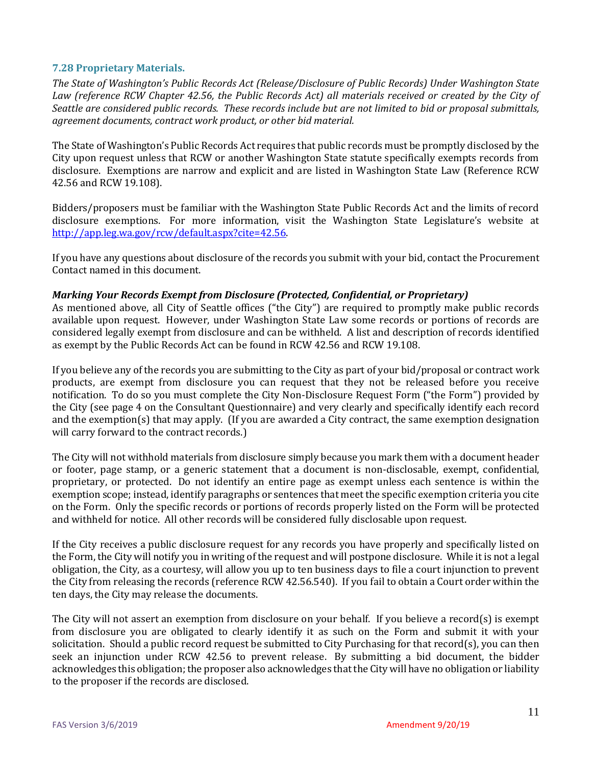#### **7.28 Proprietary Materials.**

*The State of Washington's Public Records Act (Release/Disclosure of Public Records) Under Washington State Law (reference RCW Chapter 42.56, the Public Records Act) all materials received or created by the City of Seattle are considered public records. These records include but are not limited to bid or proposal submittals, agreement documents, contract work product, or other bid material.*

The State of Washington's Public Records Act requires that public records must be promptly disclosed by the City upon request unless that RCW or another Washington State statute specifically exempts records from disclosure. Exemptions are narrow and explicit and are listed in Washington State Law (Reference RCW 42.56 and RCW 19.108).

Bidders/proposers must be familiar with the Washington State Public Records Act and the limits of record disclosure exemptions. For more information, visit the Washington State Legislature's website at [http://app.leg.wa.gov/rcw/default.aspx?cite=42.56.](http://app.leg.wa.gov/rcw/default.aspx?cite=42.56)

If you have any questions about disclosure of the records you submit with your bid, contact the Procurement Contact named in this document.

#### *Marking Your Records Exempt from Disclosure (Protected, Confidential, or Proprietary)*

As mentioned above, all City of Seattle offices ("the City") are required to promptly make public records available upon request. However, under Washington State Law some records or portions of records are considered legally exempt from disclosure and can be withheld. A list and description of records identified as exempt by the Public Records Act can be found in RCW 42.56 and RCW 19.108.

If you believe any of the records you are submitting to the City as part of your bid/proposal or contract work products, are exempt from disclosure you can request that they not be released before you receive notification. To do so you must complete the City Non-Disclosure Request Form ("the Form") provided by the City (see page 4 on the Consultant Questionnaire) and very clearly and specifically identify each record and the exemption(s) that may apply. (If you are awarded a City contract, the same exemption designation will carry forward to the contract records.)

The City will not withhold materials from disclosure simply because you mark them with a document header or footer, page stamp, or a generic statement that a document is non-disclosable, exempt, confidential, proprietary, or protected. Do not identify an entire page as exempt unless each sentence is within the exemption scope; instead, identify paragraphs or sentences that meet the specific exemption criteria you cite on the Form. Only the specific records or portions of records properly listed on the Form will be protected and withheld for notice. All other records will be considered fully disclosable upon request.

If the City receives a public disclosure request for any records you have properly and specifically listed on the Form, the City will notify you in writing of the request and will postpone disclosure. While it is not a legal obligation, the City, as a courtesy, will allow you up to ten business days to file a court injunction to prevent the City from releasing the records (reference RCW 42.56.540). If you fail to obtain a Court order within the ten days, the City may release the documents.

The City will not assert an exemption from disclosure on your behalf. If you believe a record(s) is exempt from disclosure you are obligated to clearly identify it as such on the Form and submit it with your solicitation. Should a public record request be submitted to City Purchasing for that record(s), you can then seek an injunction under RCW 42.56 to prevent release. By submitting a bid document, the bidder acknowledges this obligation; the proposer also acknowledges that the City will have no obligation or liability to the proposer if the records are disclosed.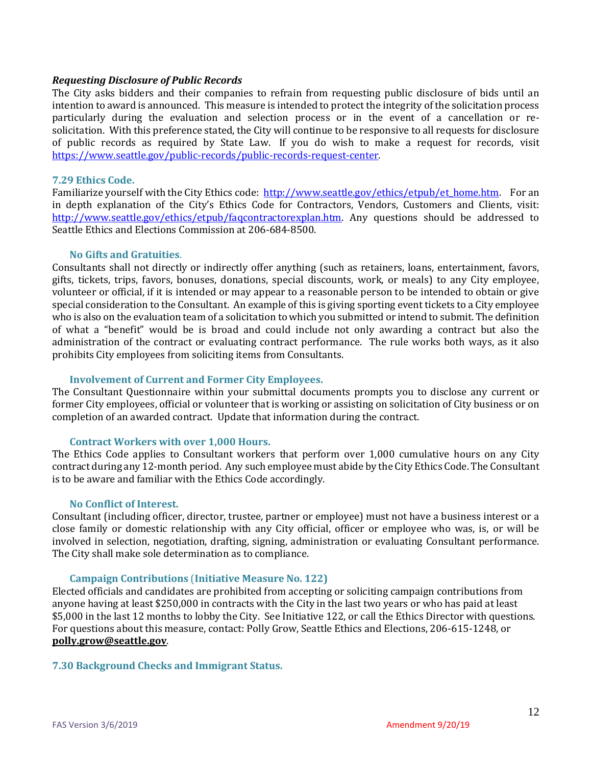#### *Requesting Disclosure of Public Records*

The City asks bidders and their companies to refrain from requesting public disclosure of bids until an intention to award is announced. This measure is intended to protect the integrity of the solicitation process particularly during the evaluation and selection process or in the event of a cancellation or resolicitation. With this preference stated, the City will continue to be responsive to all requests for disclosure of public records as required by State Law. If you do wish to make a request for records, visit [https://www.seattle.gov/public-records/public-records-request-center.](https://www.seattle.gov/public-records/public-records-request-center)

#### **7.29 Ethics Code.**

Familiarize yourself with the City Ethics code: [http://www.seattle.gov/ethics/etpub/et\\_home.htm.](http://www.seattle.gov/ethics/etpub/et_home.htm) For an in depth explanation of the City's Ethics Code for Contractors, Vendors, Customers and Clients, visit: [http://www.seattle.gov/ethics/etpub/faqcontractorexplan.htm.](http://www.seattle.gov/ethics/etpub/faqcontractorexplan.htm) Any questions should be addressed to Seattle Ethics and Elections Commission at 206-684-8500.

#### **No Gifts and Gratuities**.

Consultants shall not directly or indirectly offer anything (such as retainers, loans, entertainment, favors, gifts, tickets, trips, favors, bonuses, donations, special discounts, work, or meals) to any City employee, volunteer or official, if it is intended or may appear to a reasonable person to be intended to obtain or give special consideration to the Consultant. An example of this is giving sporting event tickets to a City employee who is also on the evaluation team of a solicitation to which you submitted or intend to submit. The definition of what a "benefit" would be is broad and could include not only awarding a contract but also the administration of the contract or evaluating contract performance. The rule works both ways, as it also prohibits City employees from soliciting items from Consultants.

#### **Involvement of Current and Former City Employees.**

The Consultant Questionnaire within your submittal documents prompts you to disclose any current or former City employees, official or volunteer that is working or assisting on solicitation of City business or on completion of an awarded contract. Update that information during the contract.

#### **Contract Workers with over 1,000 Hours.**

The Ethics Code applies to Consultant workers that perform over 1,000 cumulative hours on any City contract during any 12-month period. Any such employee must abide by the City Ethics Code. The Consultant is to be aware and familiar with the Ethics Code accordingly.

#### **No Conflict of Interest.**

Consultant (including officer, director, trustee, partner or employee) must not have a business interest or a close family or domestic relationship with any City official, officer or employee who was, is, or will be involved in selection, negotiation, drafting, signing, administration or evaluating Consultant performance. The City shall make sole determination as to compliance.

#### **Campaign Contributions** (**Initiative Measure No. 122)**

Elected officials and candidates are prohibited from accepting or soliciting campaign contributions from anyone having at least \$250,000 in contracts with the City in the last two years or who has paid at least \$5,000 in the last 12 months to lobby the City. See Initiative 122, or call the Ethics Director with questions. For questions about this measure, contact: Polly Grow, Seattle Ethics and Elections, 206-615-1248, or **[polly.grow@seattle.gov](mailto:polly.grow@seattle.gov)**.

#### **7.30 Background Checks and Immigrant Status.**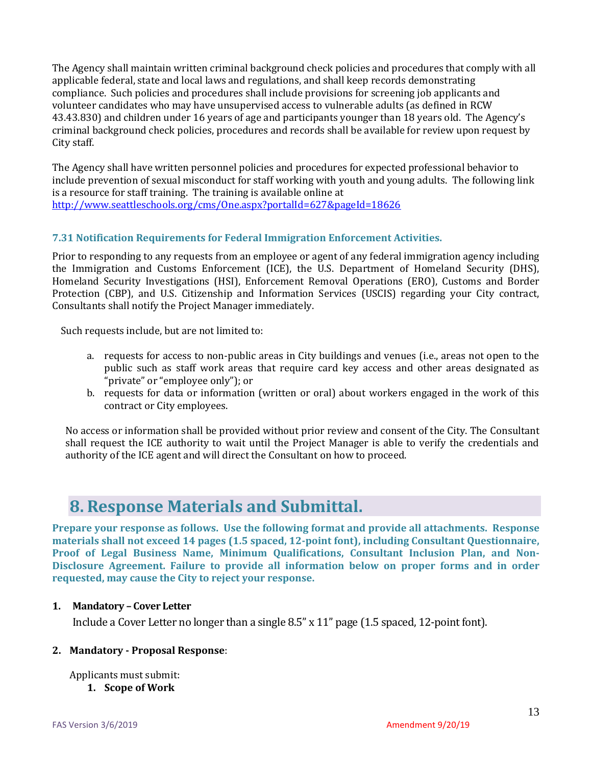The Agency shall maintain written criminal background check policies and procedures that comply with all applicable federal, state and local laws and regulations, and shall keep records demonstrating compliance. Such policies and procedures shall include provisions for screening job applicants and volunteer candidates who may have unsupervised access to vulnerable adults (as defined in RCW 43.43.830) and children under 16 years of age and participants younger than 18 years old. The Agency's criminal background check policies, procedures and records shall be available for review upon request by City staff.

The Agency shall have written personnel policies and procedures for expected professional behavior to include prevention of sexual misconduct for staff working with youth and young adults. The following link is a resource for staff training. The training is available online at <http://www.seattleschools.org/cms/One.aspx?portalId=627&pageId=18626>

#### **7.31 Notification Requirements for Federal Immigration Enforcement Activities.**

Prior to responding to any requests from an employee or agent of any federal immigration agency including the Immigration and Customs Enforcement (ICE), the U.S. Department of Homeland Security (DHS), Homeland Security Investigations (HSI), Enforcement Removal Operations (ERO), Customs and Border Protection (CBP), and U.S. Citizenship and Information Services (USCIS) regarding your City contract, Consultants shall notify the Project Manager immediately.

Such requests include, but are not limited to:

- a. requests for access to non-public areas in City buildings and venues (i.e., areas not open to the public such as staff work areas that require card key access and other areas designated as "private" or "employee only"); or
- b. requests for data or information (written or oral) about workers engaged in the work of this contract or City employees.

No access or information shall be provided without prior review and consent of the City. The Consultant shall request the ICE authority to wait until the Project Manager is able to verify the credentials and authority of the ICE agent and will direct the Consultant on how to proceed.

### <span id="page-12-0"></span>**8. Response Materials and Submittal.**

**Prepare your response as follows. Use the following format and provide all attachments. Response materials shall not exceed 14 pages (1.5 spaced, 12-point font), including Consultant Questionnaire, Proof of Legal Business Name, Minimum Qualifications, Consultant Inclusion Plan, and Non-Disclosure Agreement. Failure to provide all information below on proper forms and in order requested, may cause the City to reject your response.**

#### **1. Mandatory – Cover Letter**

Include a Cover Letter no longer than a single 8.5" x 11" page (1.5 spaced, 12-point font).

#### **2. Mandatory - Proposal Response**:

Applicants must submit: **1. Scope of Work**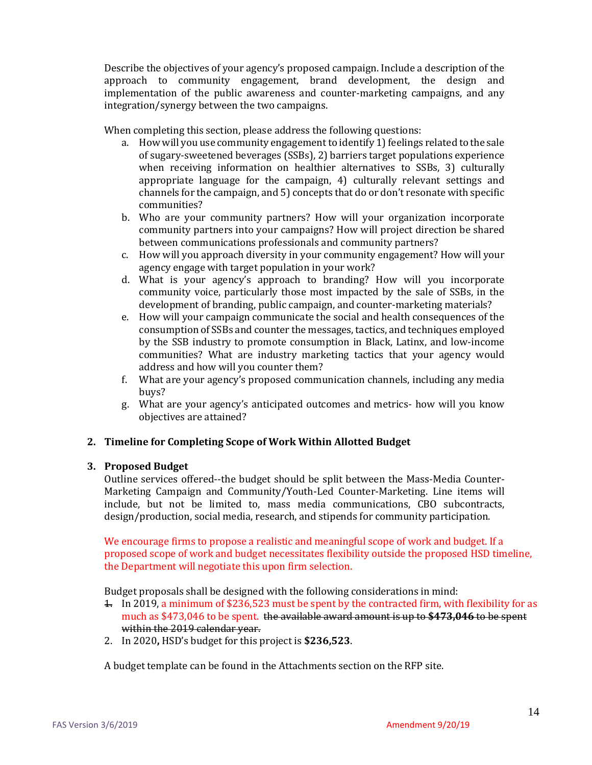Describe the objectives of your agency's proposed campaign. Include a description of the approach to community engagement, brand development, the design and implementation of the public awareness and counter-marketing campaigns, and any integration/synergy between the two campaigns.

When completing this section, please address the following questions:

- a. How will you use community engagement to identify 1) feelings related to the sale of sugary-sweetened beverages (SSBs), 2) barriers target populations experience when receiving information on healthier alternatives to SSBs, 3) culturally appropriate language for the campaign, 4) culturally relevant settings and channels for the campaign, and 5) concepts that do or don't resonate with specific communities?
- b. Who are your community partners? How will your organization incorporate community partners into your campaigns? How will project direction be shared between communications professionals and community partners?
- c. How will you approach diversity in your community engagement? How will your agency engage with target population in your work?
- d. What is your agency's approach to branding? How will you incorporate community voice, particularly those most impacted by the sale of SSBs, in the development of branding, public campaign, and counter-marketing materials?
- e. How will your campaign communicate the social and health consequences of the consumption of SSBs and counter the messages, tactics, and techniques employed by the SSB industry to promote consumption in Black, Latinx, and low-income communities? What are industry marketing tactics that your agency would address and how will you counter them?
- f. What are your agency's proposed communication channels, including any media buys?
- g. What are your agency's anticipated outcomes and metrics- how will you know objectives are attained?

#### **2. Timeline for Completing Scope of Work Within Allotted Budget**

#### **3. Proposed Budget**

Outline services offered--the budget should be split between the Mass-Media Counter-Marketing Campaign and Community/Youth-Led Counter-Marketing. Line items will include, but not be limited to, mass media communications, CBO subcontracts, design/production, social media, research, and stipends for community participation.

We encourage firms to propose a realistic and meaningful scope of work and budget. If a proposed scope of work and budget necessitates flexibility outside the proposed HSD timeline, the Department will negotiate this upon firm selection.

Budget proposals shall be designed with the following considerations in mind:

- 1. In 2019, a minimum of \$236,523 must be spent by the contracted firm, with flexibility for as much as \$473,046 to be spent. the available award amount is up to **\$473,046** to be spent within the 2019 calendar year.
- 2. In 2020**,** HSD's budget for this project is **\$236,523**.

A budget template can be found in the Attachments section on the RFP site.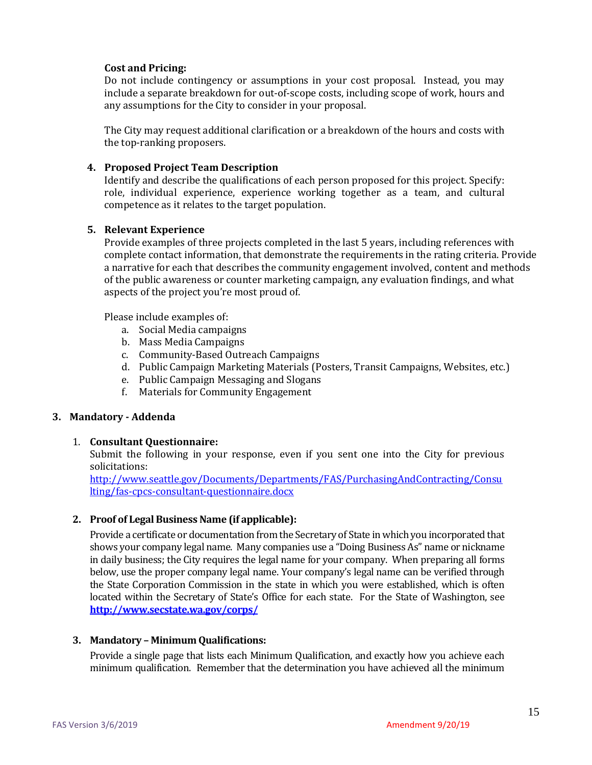#### **Cost and Pricing:**

Do not include contingency or assumptions in your cost proposal. Instead, you may include a separate breakdown for out-of-scope costs, including scope of work, hours and any assumptions for the City to consider in your proposal.

The City may request additional clarification or a breakdown of the hours and costs with the top-ranking proposers.

#### **4. Proposed Project Team Description**

Identify and describe the qualifications of each person proposed for this project. Specify: role, individual experience, experience working together as a team, and cultural competence as it relates to the target population.

#### **5. Relevant Experience**

Provide examples of three projects completed in the last 5 years, including references with complete contact information, that demonstrate the requirements in the rating criteria. Provide a narrative for each that describes the community engagement involved, content and methods of the public awareness or counter marketing campaign, any evaluation findings, and what aspects of the project you're most proud of.

Please include examples of:

- a. Social Media campaigns
- b. Mass Media Campaigns
- c. Community-Based Outreach Campaigns
- d. Public Campaign Marketing Materials (Posters, Transit Campaigns, Websites, etc.)
- e. Public Campaign Messaging and Slogans
- f. Materials for Community Engagement

#### **3. Mandatory - Addenda**

#### 1. **Consultant Questionnaire:**

Submit the following in your response, even if you sent one into the City for previous solicitations:

[http://www.seattle.gov/Documents/Departments/FAS/PurchasingAndContracting/Consu](http://www.seattle.gov/Documents/Departments/FAS/PurchasingAndContracting/Consulting/fas-cpcs-consultant-questionnaire.docx) [lting/fas-cpcs-consultant-questionnaire.docx](http://www.seattle.gov/Documents/Departments/FAS/PurchasingAndContracting/Consulting/fas-cpcs-consultant-questionnaire.docx)

#### **2. Proof of Legal Business Name (if applicable):**

Provide a certificate or documentation from the Secretary of State in which you incorporated that shows your company legal name. Many companies use a "Doing Business As" name or nickname in daily business; the City requires the legal name for your company. When preparing all forms below, use the proper company legal name. Your company's legal name can be verified through the State Corporation Commission in the state in which you were established, which is often located within the Secretary of State's Office for each state. For the State of Washington, see **<http://www.secstate.wa.gov/corps/>**

#### **3. Mandatory – Minimum Qualifications:**

Provide a single page that lists each Minimum Qualification, and exactly how you achieve each minimum qualification. Remember that the determination you have achieved all the minimum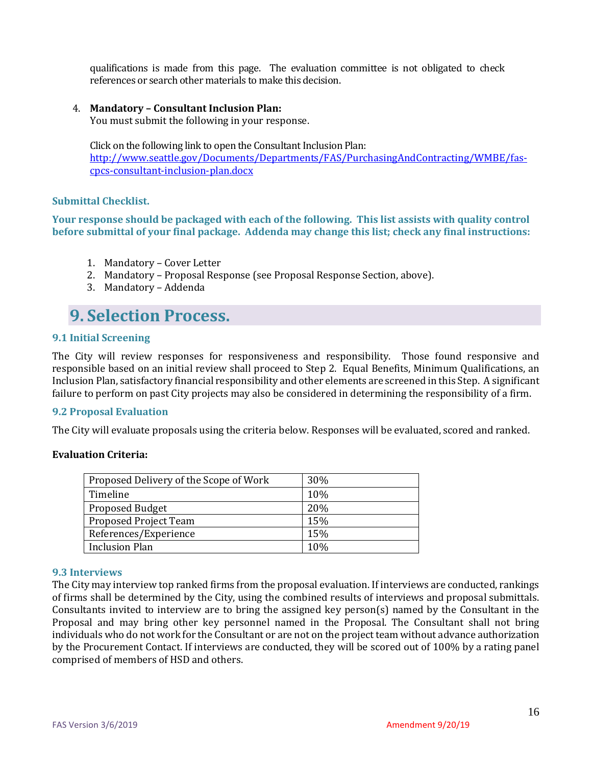qualifications is made from this page. The evaluation committee is not obligated to check references or search other materials to make this decision.

#### 4. **Mandatory – Consultant Inclusion Plan:**

You must submit the following in your response.

Click on the following link to open the Consultant Inclusion Plan: [http://www.seattle.gov/Documents/Departments/FAS/PurchasingAndContracting/WMBE/fas](http://www.seattle.gov/Documents/Departments/FAS/PurchasingAndContracting/WMBE/fas-cpcs-consultant-inclusion-plan.docx)[cpcs-consultant-inclusion-plan.docx](http://www.seattle.gov/Documents/Departments/FAS/PurchasingAndContracting/WMBE/fas-cpcs-consultant-inclusion-plan.docx)

#### **Submittal Checklist.**

**Your response should be packaged with each of the following. This list assists with quality control before submittal of your final package. Addenda may change this list; check any final instructions:**

- 1. Mandatory Cover Letter
- 2. Mandatory Proposal Response (see Proposal Response Section, above).
- 3. Mandatory Addenda

### <span id="page-15-0"></span>**9. Selection Process.**

#### **9.1 Initial Screening**

The City will review responses for responsiveness and responsibility. Those found responsive and responsible based on an initial review shall proceed to Step 2. Equal Benefits, Minimum Qualifications, an Inclusion Plan, satisfactory financial responsibility and other elements are screened in this Step. A significant failure to perform on past City projects may also be considered in determining the responsibility of a firm.

#### **9.2 Proposal Evaluation**

The City will evaluate proposals using the criteria below. Responses will be evaluated, scored and ranked.

#### **Evaluation Criteria:**

| Proposed Delivery of the Scope of Work | 30% |
|----------------------------------------|-----|
| Timeline                               | 10% |
| <b>Proposed Budget</b>                 | 20% |
| Proposed Project Team                  | 15% |
| References/Experience                  | 15% |
| <b>Inclusion Plan</b>                  | 10% |

#### **9.3 Interviews**

The City may interview top ranked firms from the proposal evaluation. If interviews are conducted, rankings of firms shall be determined by the City, using the combined results of interviews and proposal submittals. Consultants invited to interview are to bring the assigned key person(s) named by the Consultant in the Proposal and may bring other key personnel named in the Proposal. The Consultant shall not bring individuals who do not work for the Consultant or are not on the project team without advance authorization by the Procurement Contact. If interviews are conducted, they will be scored out of 100% by a rating panel comprised of members of HSD and others.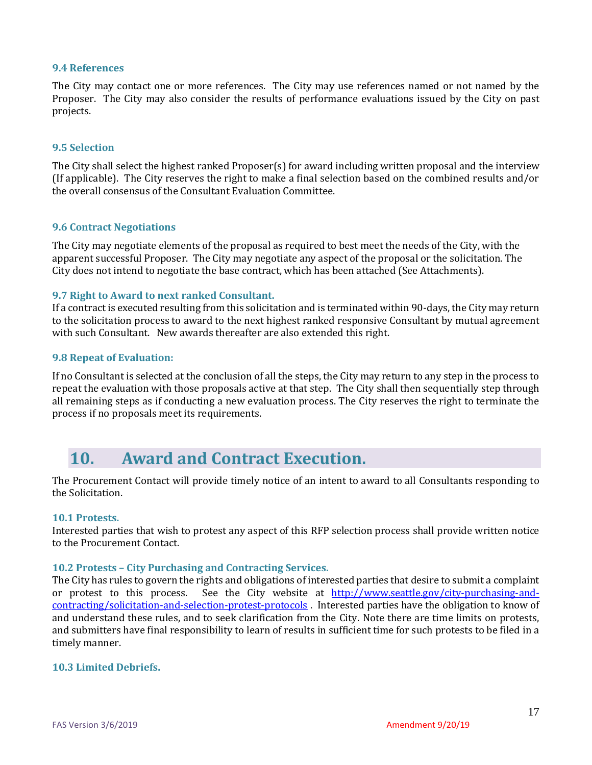#### **9.4 References**

The City may contact one or more references. The City may use references named or not named by the Proposer. The City may also consider the results of performance evaluations issued by the City on past projects.

#### **9.5 Selection**

The City shall select the highest ranked Proposer(s) for award including written proposal and the interview (If applicable). The City reserves the right to make a final selection based on the combined results and/or the overall consensus of the Consultant Evaluation Committee.

#### **9.6 Contract Negotiations**

The City may negotiate elements of the proposal as required to best meet the needs of the City, with the apparent successful Proposer. The City may negotiate any aspect of the proposal or the solicitation. The City does not intend to negotiate the base contract, which has been attached (See Attachments).

#### **9.7 Right to Award to next ranked Consultant.**

If a contract is executed resulting from this solicitation and is terminated within 90-days, the City may return to the solicitation process to award to the next highest ranked responsive Consultant by mutual agreement with such Consultant. New awards thereafter are also extended this right.

#### **9.8 Repeat of Evaluation:**

If no Consultant is selected at the conclusion of all the steps, the City may return to any step in the process to repeat the evaluation with those proposals active at that step. The City shall then sequentially step through all remaining steps as if conducting a new evaluation process. The City reserves the right to terminate the process if no proposals meet its requirements.

### <span id="page-16-0"></span>**10. Award and Contract Execution.**

The Procurement Contact will provide timely notice of an intent to award to all Consultants responding to the Solicitation.

#### **10.1 Protests.**

Interested parties that wish to protest any aspect of this RFP selection process shall provide written notice to the Procurement Contact.

#### **10.2 Protests – City Purchasing and Contracting Services.**

The City has rules to govern the rights and obligations of interested parties that desire to submit a complaint or protest to this process. See the City website at [http://www.seattle.gov/city-purchasing-and](http://www.seattle.gov/city-purchasing-and-contracting/solicitation-and-selection-protest-protocols)[contracting/solicitation-and-selection-protest-protocols](http://www.seattle.gov/city-purchasing-and-contracting/solicitation-and-selection-protest-protocols) . Interested parties have the obligation to know of and understand these rules, and to seek clarification from the City. Note there are time limits on protests, and submitters have final responsibility to learn of results in sufficient time for such protests to be filed in a timely manner.

#### **10.3 Limited Debriefs.**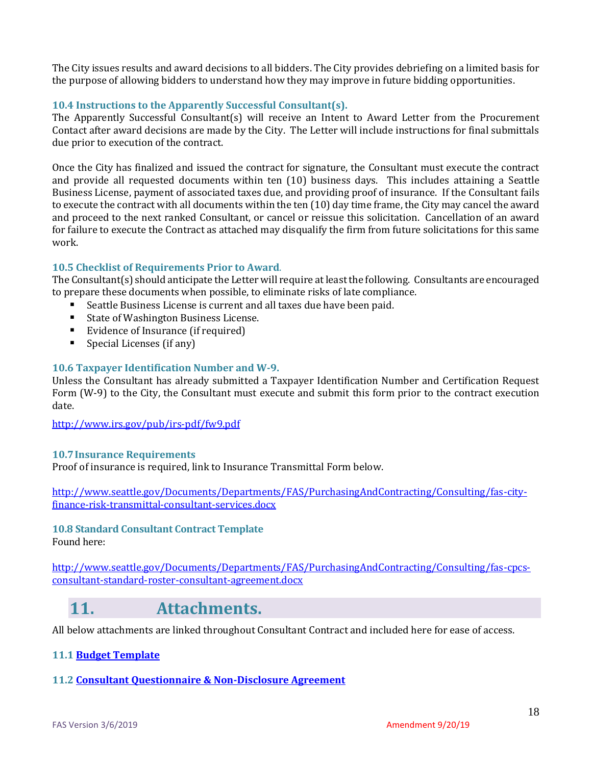The City issues results and award decisions to all bidders. The City provides debriefing on a limited basis for the purpose of allowing bidders to understand how they may improve in future bidding opportunities.

#### **10.4 Instructions to the Apparently Successful Consultant(s).**

The Apparently Successful Consultant(s) will receive an Intent to Award Letter from the Procurement Contact after award decisions are made by the City. The Letter will include instructions for final submittals due prior to execution of the contract.

Once the City has finalized and issued the contract for signature, the Consultant must execute the contract and provide all requested documents within ten (10) business days. This includes attaining a Seattle Business License, payment of associated taxes due, and providing proof of insurance. If the Consultant fails to execute the contract with all documents within the ten (10) day time frame, the City may cancel the award and proceed to the next ranked Consultant, or cancel or reissue this solicitation. Cancellation of an award for failure to execute the Contract as attached may disqualify the firm from future solicitations for this same work.

#### **10.5 Checklist of Requirements Prior to Award**.

The Consultant(s) should anticipate the Letter will require at least the following. Consultants are encouraged to prepare these documents when possible, to eliminate risks of late compliance.

- Seattle Business License is current and all taxes due have been paid.
- State of Washington Business License.
- Evidence of Insurance (if required)
- Special Licenses (if any)

#### **10.6 Taxpayer Identification Number and W-9.**

Unless the Consultant has already submitted a Taxpayer Identification Number and Certification Request Form (W-9) to the City, the Consultant must execute and submit this form prior to the contract execution date.

<http://www.irs.gov/pub/irs-pdf/fw9.pdf>

#### **10.7Insurance Requirements**

Proof of insurance is required, link to Insurance Transmittal Form below.

[http://www.seattle.gov/Documents/Departments/FAS/PurchasingAndContracting/Consulting/fas-city](http://www.seattle.gov/Documents/Departments/FAS/PurchasingAndContracting/Consulting/fas-city-finance-risk-transmittal-consultant-services.docx)[finance-risk-transmittal-consultant-services.docx](http://www.seattle.gov/Documents/Departments/FAS/PurchasingAndContracting/Consulting/fas-city-finance-risk-transmittal-consultant-services.docx)

## **10.8 Standard Consultant Contract Template**

Found here:

[http://www.seattle.gov/Documents/Departments/FAS/PurchasingAndContracting/Consulting/fas-cpcs](http://www.seattle.gov/Documents/Departments/FAS/PurchasingAndContracting/Consulting/fas-cpcs-consultant-standard-roster-consultant-agreement.docx)[consultant-standard-roster-consultant-agreement.docx](http://www.seattle.gov/Documents/Departments/FAS/PurchasingAndContracting/Consulting/fas-cpcs-consultant-standard-roster-consultant-agreement.docx)

### <span id="page-17-0"></span>**11. Attachments.**

All below attachments are linked throughout Consultant Contract and included here for ease of access.

#### **11.[1 Budget Template](file:///J:/YFE_Everyone/YFE_PLANNERS/Food%20&%20Nutrition/2019%20Public%20Awareness%20&%20Counter%20Marketing/Budget%20Template.xlsx)**

#### **11.[2 Consultant Questionnaire & Non-Disclosure Agreement](http://www.seattle.gov/Documents/Departments/FAS/PurchasingAndContracting/Consulting/fas-cpcs-consultant-questionnaire.docx)**